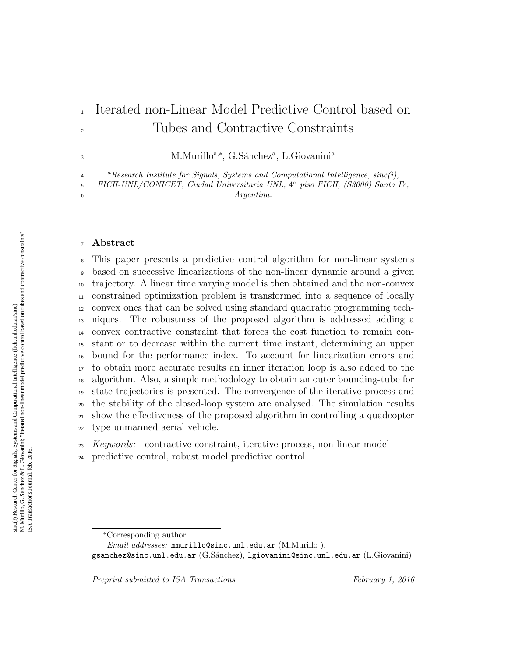# Iterated non-Linear Model Predictive Control based on Tubes and Contractive Constraints

M.Murillo<sup>a,∗</sup>, G.Sánchez<sup>a</sup>, L.Giovanini<sup>a</sup>

  $a$ Research Institute for Signals, Systems and Computational Intelligence,  $sinc(i)$ ,

FICH-UNL/CONICET, Ciudad Universitaria UNL, 4 ◦ piso FICH, (S3000) Santa Fe, *Argentina.* 

#### Abstract

 This paper presents a predictive control algorithm for non-linear systems based on successive linearizations of the non-linear dynamic around a given trajectory. A linear time varying model is then obtained and the non-convex constrained optimization problem is transformed into a sequence of locally convex ones that can be solved using standard quadratic programming tech- niques. The robustness of the proposed algorithm is addressed adding a convex contractive constraint that forces the cost function to remain con- stant or to decrease within the current time instant, determining an upper bound for the performance index. To account for linearization errors and to obtain more accurate results an inner iteration loop is also added to the algorithm. Also, a simple methodology to obtain an outer bounding-tube for state trajectories is presented. The convergence of the iterative process and the stability of the closed-loop system are analysed. The simulation results show the effectiveness of the proposed algorithm in controlling a quadcopter type unmanned aerial vehicle.

Keywords: contractive constraint, iterative process, non-linear model

predictive control, robust model predictive control

Preprint submitted to ISA Transactions February 1, 2016

<sup>∗</sup>Corresponding author

Email addresses: mmurillo@sinc.unl.edu.ar (M.Murillo),

gsanchez@sinc.unl.edu.ar (G.S´anchez), lgiovanini@sinc.unl.edu.ar (L.Giovanini)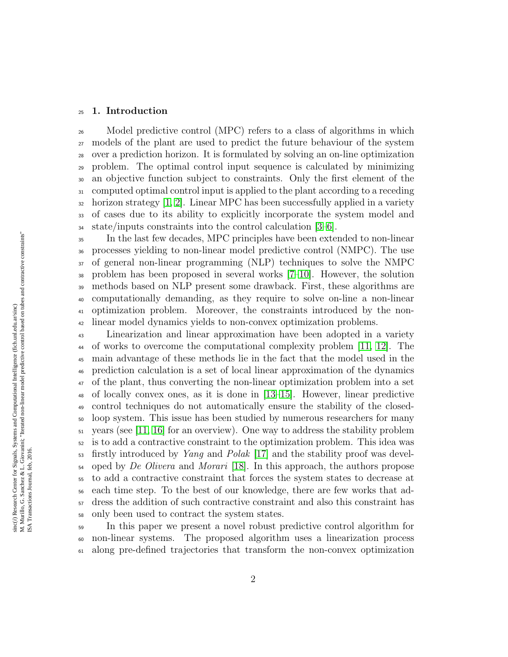#### 1. Introduction

 Model predictive control (MPC) refers to a class of algorithms in which models of the plant are used to predict the future behaviour of the system over a prediction horizon. It is formulated by solving an on-line optimization problem. The optimal control input sequence is calculated by minimizing an objective function subject to constraints. Only the first element of the computed optimal control input is applied to the plant according to a receding  $\alpha$  horizon strategy [\[1,](#page-21-0) [2\]](#page-21-1). Linear MPC has been successfully applied in a variety of cases due to its ability to explicitly incorporate the system model and state/inputs constraints into the control calculation [\[3](#page-21-2)[–6\]](#page-21-3).

 In the last few decades, MPC principles have been extended to non-linear processes yielding to non-linear model predictive control (NMPC). The use of general non-linear programming (NLP) techniques to solve the NMPC problem has been proposed in several works [\[7–](#page-21-4)[10\]](#page-22-0). However, the solution methods based on NLP present some drawback. First, these algorithms are computationally demanding, as they require to solve on-line a non-linear optimization problem. Moreover, the constraints introduced by the non-linear model dynamics yields to non-convex optimization problems.

 Linearization and linear approximation have been adopted in a variety of works to overcome the computational complexity problem [\[11,](#page-22-1) [12\]](#page-22-2). The main advantage of these methods lie in the fact that the model used in the prediction calculation is a set of local linear approximation of the dynamics of the plant, thus converting the non-linear optimization problem into a set of locally convex ones, as it is done in [\[13–](#page-22-3)[15\]](#page-22-4). However, linear predictive control techniques do not automatically ensure the stability of the closed- loop system. This issue has been studied by numerous researchers for many years (see [\[11,](#page-22-1) [16\]](#page-22-5) for an overview). One way to address the stability problem is to add a contractive constraint to the optimization problem. This idea was  $\frac{1}{53}$  firstly introduced by *Yang* and *Polak* [\[17\]](#page-22-6) and the stability proof was devel- $_{54}$  oped by *De Olivera* and *Morari* [\[18\]](#page-22-7). In this approach, the authors propose to add a contractive constraint that forces the system states to decrease at each time step. To the best of our knowledge, there are few works that ad- dress the addition of such contractive constraint and also this constraint has only been used to contract the system states.

 In this paper we present a novel robust predictive control algorithm for non-linear systems. The proposed algorithm uses a linearization process along pre-defined trajectories that transform the non-convex optimization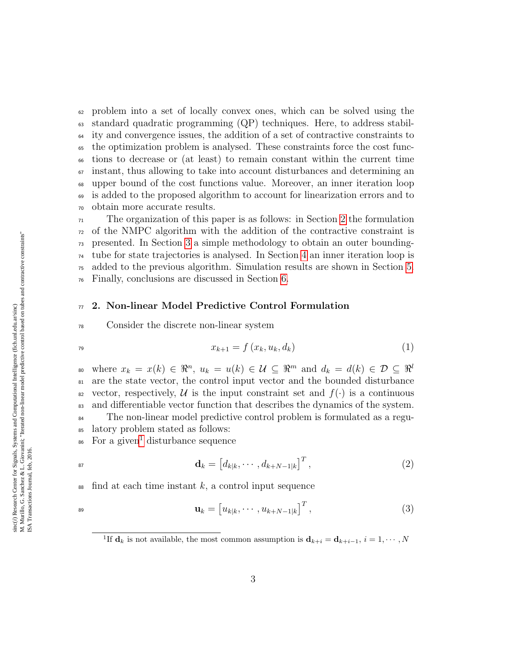problem into a set of locally convex ones, which can be solved using the standard quadratic programming (QP) techniques. Here, to address stabil- ity and convergence issues, the addition of a set of contractive constraints to the optimization problem is analysed. These constraints force the cost func- tions to decrease or (at least) to remain constant within the current time instant, thus allowing to take into account disturbances and determining an upper bound of the cost functions value. Moreover, an inner iteration loop is added to the proposed algorithm to account for linearization errors and to obtain more accurate results.

 The organization of this paper is as follows: in Section [2](#page-2-0) the formulation of the NMPC algorithm with the addition of the contractive constraint is presented. In Section [3](#page-7-0) a simple methodology to obtain an outer bounding- tube for state trajectories is analysed. In Section [4](#page-9-0) an inner iteration loop is added to the previous algorithm. Simulation results are shown in Section [5.](#page-10-0) Finally, conclusions are discussed in Section [6.](#page-16-0)

## <span id="page-2-0"></span> $\pi$  2. Non-linear Model Predictive Control Formulation

### <span id="page-2-3"></span><sup>78</sup> Consider the discrete non-linear system

$$
x_{k+1} = f(x_k, u_k, d_k)
$$
\n(1)

where  $x_k = x(k) \in \mathbb{R}^n$ ,  $u_k = u(k) \in \mathcal{U} \subseteq \mathbb{R}^m$  and  $d_k = d(k) \in \mathcal{D} \subseteq \mathbb{R}^l$ 80 <sup>81</sup> are the state vector, the control input vector and the bounded disturbance <sup>82</sup> vector, respectively, U is the input constraint set and  $f(\cdot)$  is a continuous <sup>83</sup> and differentiable vector function that describes the dynamics of the system. <sup>84</sup> The non-linear model predictive control problem is formulated as a regu-<sup>85</sup> latory problem stated as follows: <sup>86</sup> For a given<sup>[1](#page-2-1)</sup> disturbance sequence

<span id="page-2-2"></span>
$$
\mathbf{d}_k = \left[d_{k|k}, \cdots, d_{k+N-1|k}\right]^T, \tag{2}
$$

 $\epsilon$ <sup>88</sup> find at each time instant k, a control input sequence

$$
\mathbf{u}_k = \begin{bmatrix} u_{k|k}, \cdots, u_{k+N-1|k} \end{bmatrix}^T, \tag{3}
$$

<span id="page-2-1"></span><sup>&</sup>lt;sup>1</sup>If  $\mathbf{d}_k$  is not available, the most common assumption is  $\mathbf{d}_{k+i} = \mathbf{d}_{k+i-1}, i = 1, \cdots, N$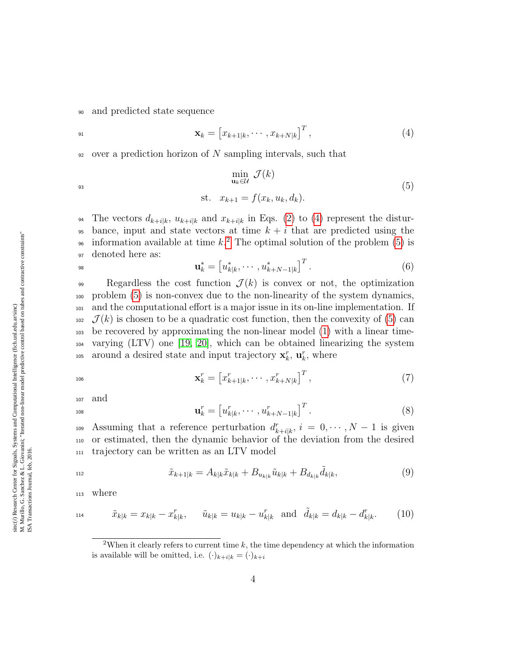<span id="page-3-0"></span><sup>90</sup> and predicted state sequence

<span id="page-3-2"></span>
$$
\mathbf{x}_k = \begin{bmatrix} x_{k+1|k}, \cdots, x_{k+N|k} \end{bmatrix}^T, \tag{4}
$$

 $\frac{92}{2}$  over a prediction horizon of N sampling intervals, such that

$$
\min_{\mathbf{u}_k \in \mathcal{U}} \mathcal{J}(k)
$$
\n
$$
\text{st. } x_{k+1} = f(x_k, u_k, d_k). \tag{5}
$$

94 The vectors  $d_{k+i|k}$ ,  $u_{k+i|k}$  and  $x_{k+i|k}$  in Eqs. [\(2\)](#page-2-2) to [\(4\)](#page-3-0) represent the distur-95 bance, input and state vectors at time  $k + i$  that are predicted using the <sup>96</sup> information available at time  $k<sup>2</sup>$  $k<sup>2</sup>$  $k<sup>2</sup>$ . The optimal solution of the problem [\(5\)](#page-3-2) is <sup>97</sup> denoted here as:

98 
$$
\mathbf{u}_{k}^{*} = \left[u_{k|k}^{*}, \cdots, u_{k+N-1|k}^{*}\right]^{T}.
$$
 (6)

99 Regardless the cost function  $\mathcal{J}(k)$  is convex or not, the optimization <sup>100</sup> problem [\(5\)](#page-3-2) is non-convex due to the non-linearity of the system dynamics, <sup>101</sup> and the computational effort is a major issue in its on-line implementation. If  $102 \mathcal{J}(k)$  is chosen to be a quadratic cost function, then the convexity of [\(5\)](#page-3-2) can <sup>103</sup> be recovered by approximating the non-linear model [\(1\)](#page-2-3) with a linear time-<sup>104</sup> varying (LTV) one [\[19,](#page-23-0) [20\]](#page-23-1), which can be obtained linearizing the system to around a desired state and input trajectory  $\mathbf{x}_k^r$ ,  $\mathbf{u}_k^r$ , where

$$
\mathbf{x}_{k}^{r} = \begin{bmatrix} x_{k+1|k}^{r}, \cdots, x_{k+N|k}^{r} \end{bmatrix}^{T}, \tag{7}
$$

<sup>107</sup> and

$$
\mathbf{u}_{k}^{r} = \begin{bmatrix} u_{k|k}^{r}, \cdots, u_{k+N-1|k}^{r} \end{bmatrix}^{T}.
$$
 (8)

109 Assuming that a reference perturbation  $d_{k+i|k}^r$ ,  $i = 0, \dots, N-1$  is given <sup>110</sup> or estimated, then the dynamic behavior of the deviation from the desired <sup>111</sup> trajectory can be written as an LTV model

<span id="page-3-3"></span>
$$
\tilde{x}_{k+1|k} = A_{k|k}\tilde{x}_{k|k} + B_{u_{k|k}}\tilde{u}_{k|k} + B_{d_{k|k}}\tilde{d}_{k|k},\tag{9}
$$

<sup>113</sup> where

$$
\tilde{x}_{k|k} = x_{k|k} - x_{k|k}^r, \quad \tilde{u}_{k|k} = u_{k|k} - u_{k|k}^r \text{ and } \tilde{d}_{k|k} = d_{k|k} - d_{k|k}^r. \tag{10}
$$

<span id="page-3-1"></span><sup>&</sup>lt;sup>2</sup>When it clearly refers to current time  $k$ , the time dependency at which the information is available will be omitted, i.e.  $(\cdot)_{k+i|k} = (\cdot)_{k+i}$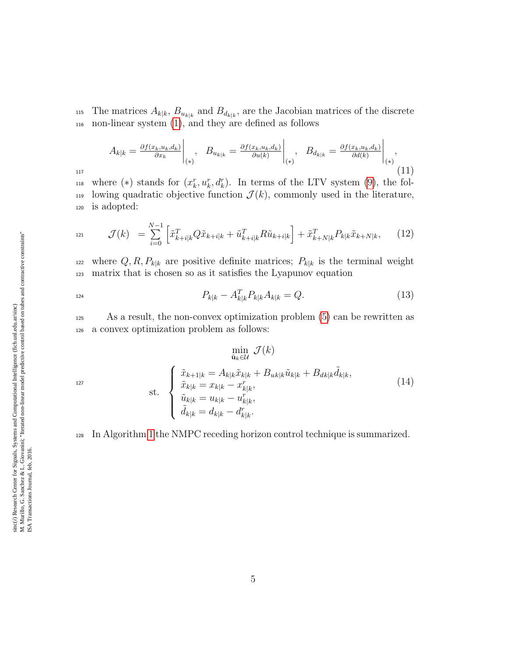<sup>115</sup> The matrices  $A_{k|k}$ ,  $B_{u_{k|k}}$  and  $B_{d_{k|k}}$ , are the Jacobian matrices of the discrete <sup>116</sup> non-linear system [\(1\)](#page-2-3), and they are defined as follows

$$
A_{k|k} = \frac{\partial f(x_k, u_k, d_k)}{\partial x_k} \bigg|_{(*)}, \quad B_{u_{k|k}} = \frac{\partial f(x_k, u_k, d_k)}{\partial u(k)} \bigg|_{(*)}, \quad B_{d_{k|k}} = \frac{\partial f(x_k, u_k, d_k)}{\partial d(k)} \bigg|_{(*)}, \tag{11}
$$

<span id="page-4-2"></span> $h_{118}$  where (\*) stands for  $(x_k^r, u_k^r, d_k^r)$ . In terms of the LTV system [\(9\)](#page-3-3), the fol-119 lowing quadratic objective function  $\mathcal{J}(k)$ , commonly used in the literature, <sup>120</sup> is adopted:

$$
\mathcal{J}(k) = \sum_{i=0}^{N-1} \left[ \tilde{x}_{k+i|k}^T Q \tilde{x}_{k+i|k} + \tilde{u}_{k+i|k}^T R \tilde{u}_{k+i|k} \right] + \tilde{x}_{k+N|k}^T P_{k|k} \tilde{x}_{k+N|k}, \tag{12}
$$

<sup>122</sup> where  $Q, R, P_{k|k}$  are positive definite matrices;  $P_{k|k}$  is the terminal weight <sup>123</sup> matrix that is chosen so as it satisfies the Lyapunov equation

$$
P_{k|k} - A_{k|k}^T P_{k|k} A_{k|k} = Q.
$$
\n(13)

<sup>125</sup> As a result, the non-convex optimization problem [\(5\)](#page-3-2) can be rewritten as <sup>126</sup> a convex optimization problem as follows:

<span id="page-4-1"></span><span id="page-4-0"></span> $\min_{\tilde{\mathbf{u}}_k \in \mathcal{U}} \mathcal{J}(k)$ 

$$
\text{st.} \quad\n \begin{cases}\n \tilde{x}_{k+1|k} = A_{k|k}\tilde{x}_{k|k} + B_{uk|k}\tilde{u}_{k|k} + B_{dk|k}\tilde{d}_{k|k}, \\
 \tilde{x}_{k|k} = x_{k|k} - x_{k|k}^r, \\
 \tilde{u}_{k|k} = u_{k|k} - u_{k|k}^r, \\
 \tilde{d}_{k|k} = d_{k|k} - d_{k|k}^r.\n \end{cases}\n \tag{14}
$$

<sup>128</sup> In Algorithm [1](#page-5-0) the NMPC receding horizon control technique is summarized.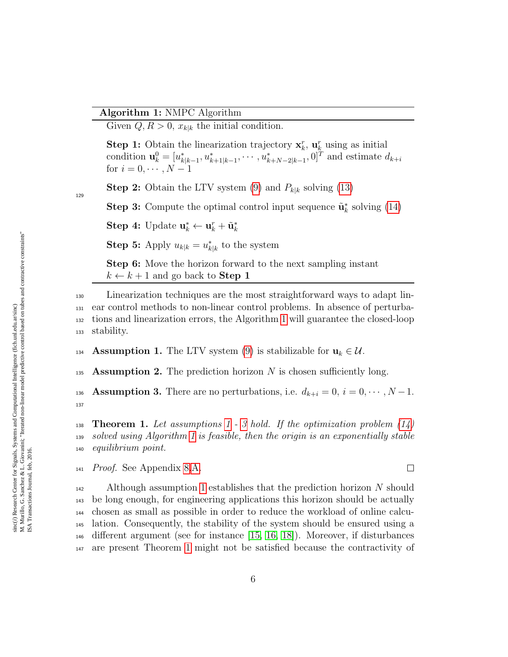## Algorithm 1: NMPC Algorithm

Given  $Q, R > 0$ ,  $x_{k|k}$  the initial condition.

**Step 1:** Obtain the linearization trajectory  $\mathbf{x}_k^r$ ,  $\mathbf{u}_k^r$  using as initial condition  $\mathbf{u}_k^0 = [u_{k|k-1}^*, u_{k+1|k-1}^*, \cdots, u_{k+N-2|k-1}^*, 0]^T$  and estimate  $d_{k+i}$ for  $i = 0, \cdots, N - 1$ 

**Step 2:** Obtain the LTV system [\(9\)](#page-3-3) and  $P_{k|k}$  solving [\(13\)](#page-4-0)

**Step 3:** Compute the optimal control input sequence  $\tilde{\mathbf{u}}_k^*$  solving [\(14\)](#page-4-1)

Step 4: Update  $\mathbf{u}_k^* \leftarrow \mathbf{u}_k^* + \tilde{\mathbf{u}}_k^*$ 

<span id="page-5-0"></span>**Step 5:** Apply  $u_{k|k} = u_{k|k}^*$  to the system

Step 6: Move the horizon forward to the next sampling instant  $k \leftarrow k + 1$  and go back to **Step 1** 

 Linearization techniques are the most straightforward ways to adapt lin- ear control methods to non-linear control problems. In absence of perturba- tions and linearization errors, the Algorithm [1](#page-5-0) will guarantee the closed-loop stability.

<span id="page-5-1"></span>134 Assumption 1. The LTV system [\(9\)](#page-3-3) is stabilizable for  $\mathbf{u}_k \in \mathcal{U}$ .

135 **Assumption 2.** The prediction horizon N is chosen sufficiently long.

<span id="page-5-2"></span>136 Assumption 3. There are no perturbations, i.e.  $d_{k+i} = 0, i = 0, \dots, N-1$ . 137

<span id="page-5-3"></span>138 **Theorem [1](#page-5-1).** Let assumptions 1 - [3](#page-5-2) hold. If the optimization problem  $(14)$ <sup>139</sup> solved using Algorithm [1](#page-5-0) is feasible, then the origin is an exponentially stable <sup>140</sup> equilibrium point.

 $\Box$ 

 $141$  *Proof.* See Appendix [8.](#page-17-0)[A.](#page-17-1)

142 Although assumption [1](#page-5-1) establishes that the prediction horizon N should be long enough, for engineering applications this horizon should be actually chosen as small as possible in order to reduce the workload of online calcu- lation. Consequently, the stability of the system should be ensured using a different argument (see for instance [\[15,](#page-22-4) [16,](#page-22-5) [18\]](#page-22-7)). Moreover, if disturbances are present Theorem [1](#page-5-3) might not be satisfied because the contractivity of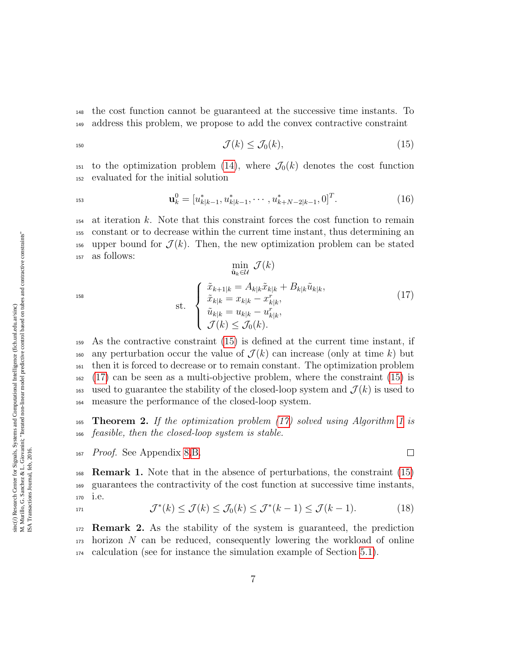<sup>148</sup> the cost function cannot be guaranteed at the successive time instants. To <sup>149</sup> address this problem, we propose to add the convex contractive constraint

$$
\mathcal{J}(k) \le \mathcal{J}_0(k),\tag{15}
$$

<sup>151</sup> to the optimization problem [\(14\)](#page-4-1), where  $\mathcal{J}_0(k)$  denotes the cost function <sup>152</sup> evaluated for the initial solution

$$
\mathbf{u}_k^0 = [u_{k|k-1}^*, u_{k|k-1}^*, \cdots, u_{k+N-2|k-1}^*, 0]^T. \tag{16}
$$

<sup>154</sup> at iteration k. Note that this constraint forces the cost function to remain <sup>155</sup> constant or to decrease within the current time instant, thus determining an 156 upper bound for  $\mathcal{J}(k)$ . Then, the new optimization problem can be stated <sup>157</sup> as follows:  $\rightarrow$  (x)

<span id="page-6-1"></span>
$$
\min_{\tilde{\mathbf{u}}_k \in \mathcal{U}} \mathcal{J}(k)
$$
\n
$$
\text{st.} \quad \begin{cases}\n\tilde{x}_{k+1|k} = A_{k|k}\tilde{x}_{k|k} + B_{k|k}\tilde{u}_{k|k}, \\
\tilde{x}_{k|k} = x_{k|k} - x_{k|k}^r, \\
\tilde{u}_{k|k} = u_{k|k} - u_{k|k}^r, \\
\mathcal{J}(k) \le \mathcal{J}_0(k).\n\end{cases} \tag{17}
$$

<span id="page-6-0"></span> $\Box$ 

 As the contractive constraint [\(15\)](#page-6-0) is defined at the current time instant, if <sup>160</sup> any perturbation occur the value of  $\mathcal{J}(k)$  can increase (only at time k) but then it is forced to decrease or to remain constant. The optimization problem [\(17\)](#page-6-1) can be seen as a multi-objective problem, where the constraint [\(15\)](#page-6-0) is <sup>163</sup> used to guarantee the stability of the closed-loop system and  $\mathcal{J}(k)$  is used to measure the performance of the closed-loop system.

<span id="page-6-2"></span>165 Theorem 2. If the optimization problem  $(17)$  solved using Algorithm [1](#page-5-0) is <sup>166</sup> feasible, then the closed-loop system is stable.

<sup>167</sup> Proof. See Appendix [8.](#page-17-0)[B.](#page-18-0)

168 **Remark 1.** Note that in the absence of perturbations, the constraint  $(15)$ <sup>169</sup> guarantees the contractivity of the cost function at successive time instants, <sup>170</sup> i.e.

<span id="page-6-3"></span>
$$
\mathcal{J}^*(k) \le \mathcal{J}(k) \le \mathcal{J}_0(k) \le \mathcal{J}^*(k-1) \le \mathcal{J}(k-1). \tag{18}
$$

<span id="page-6-4"></span><sub>172</sub> **Remark 2.** As the stability of the system is guaranteed, the prediction  $_{173}$  horizon N can be reduced, consequently lowering the workload of online <sup>174</sup> calculation (see for instance the simulation example of Section [5.1\)](#page-11-0).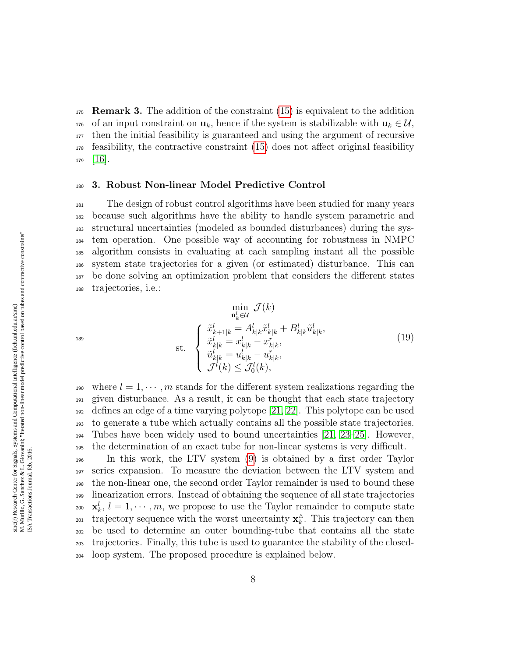175 **Remark 3.** The addition of the constraint  $(15)$  is equivalent to the addition 176 of an input constraint on  $\mathbf{u}_k$ , hence if the system is stabilizable with  $\mathbf{u}_k \in \mathcal{U}$ , <sup>177</sup> then the initial feasibility is guaranteed and using the argument of recursive <sup>178</sup> feasibility, the contractive constraint [\(15\)](#page-6-0) does not affect original feasibility  $179$   $|16|$ .

#### <span id="page-7-0"></span><sup>180</sup> 3. Robust Non-linear Model Predictive Control

 The design of robust control algorithms have been studied for many years because such algorithms have the ability to handle system parametric and structural uncertainties (modeled as bounded disturbances) during the sys- tem operation. One possible way of accounting for robustness in NMPC algorithm consists in evaluating at each sampling instant all the possible system state trajectories for a given (or estimated) disturbance. This can be done solving an optimization problem that considers the different states trajectories, i.e.:

$$
\min_{\tilde{u}_{k}^{l} \in \mathcal{U}} \mathcal{J}(k)
$$
\n
$$
\text{st.} \quad \begin{cases}\n\tilde{x}_{k+1|k}^{l} = A_{k|k}^{l} \tilde{x}_{k|k}^{l} + B_{k|k}^{l} \tilde{u}_{k|k}^{l}, \\
\tilde{x}_{k|k}^{l} = x_{k|k}^{l} - x_{k|k}^{r}, \\
\tilde{u}_{k|k}^{l} = u_{k|k}^{l} - u_{k|k}^{r}, \\
\mathcal{J}^{l}(k) \leq \mathcal{J}_{0}^{l}(k),\n\end{cases}
$$
\n
$$
(19)
$$

190 where  $l = 1, \dots, m$  stands for the different system realizations regarding the given disturbance. As a result, it can be thought that each state trajectory defines an edge of a time varying polytope [\[21,](#page-23-2) [22\]](#page-23-3). This polytope can be used to generate a tube which actually contains all the possible state trajectories. Tubes have been widely used to bound uncertainties [\[21,](#page-23-2) [23–](#page-23-4)[25\]](#page-23-5). However, the determination of an exact tube for non-linear systems is very difficult.

 In this work, the LTV system [\(9\)](#page-3-3) is obtained by a first order Taylor series expansion. To measure the deviation between the LTV system and the non-linear one, the second order Taylor remainder is used to bound these linearization errors. Instead of obtaining the sequence of all state trajectories <sup>200</sup>  $\mathbf{x}_k^l, l = 1, \cdots, m$ , we propose to use the Taylor remainder to compute state trajectory sequence with the worst uncertainty  $\mathbf{x}_k^{\Delta}$ <sub>201</sub> trajectory sequence with the worst uncertainty  $\mathbf{x}_k^{\wedge}$ . This trajectory can then be used to determine an outer bounding-tube that contains all the state trajectories. Finally, this tube is used to guarantee the stability of the closed-loop system. The proposed procedure is explained below.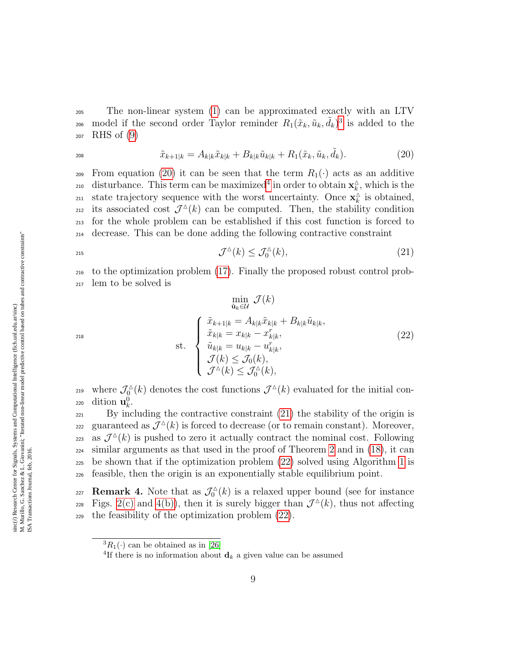<sup>205</sup> The non-linear system [\(1\)](#page-2-3) can be approximated exactly with an LTV 206 model if the second order Taylor reminder  $R_1(\tilde{x}_k, \tilde{u}_k, \tilde{d}_k)^3$  $R_1(\tilde{x}_k, \tilde{u}_k, \tilde{d}_k)^3$  is added to the <sup>207</sup> RHS of [\(9\)](#page-3-3)

<span id="page-8-1"></span>
$$
\tilde{x}_{k+1|k} = A_{k|k}\tilde{x}_{k|k} + B_{k|k}\tilde{u}_{k|k} + R_1(\tilde{x}_k, \tilde{u}_k, \tilde{d}_k). \tag{20}
$$

209 From equation [\(20\)](#page-8-1) it can be seen that the term  $R_1(\cdot)$  acts as an additive disturbance. This term can be maximized<sup>[4](#page-8-2)</sup> in order to obtain  $\mathbf{x}_k^{\Delta}$ <sup>210</sup> disturbance. This term can be maximized<sup>4</sup> in order to obtain  $\mathbf{x}_k^{\wedge}$ , which is the state trajectory sequence with the worst uncertainty. Once  $\mathbf{x}_{k}^{\mathbf{\hat{\triangle}}}$ <sup>211</sup> state trajectory sequence with the worst uncertainty. Once  $\mathbf{x}_k^{\Delta}$  is obtained, 212 its associated cost  $\mathcal{J}^{\Delta}(k)$  can be computed. Then, the stability condition <sup>213</sup> for the whole problem can be established if this cost function is forced to <sup>214</sup> decrease. This can be done adding the following contractive constraint

<span id="page-8-3"></span>
$$
\mathcal{J}^{\Delta}(k) \le \mathcal{J}_0^{\Delta}(k),\tag{21}
$$

<span id="page-8-4"></span><sup>216</sup> to the optimization problem [\(17\)](#page-6-1). Finally the proposed robust control prob-<sup>217</sup> lem to be solved is

$$
\min_{\tilde{\mathbf{u}}_k \in \mathcal{U}} \mathcal{J}(k)
$$
\n
$$
\sum_{\tilde{\mathbf{u}}_k \in \mathcal{U}} \mathcal{J}(k)
$$
\n
$$
\text{st.} \quad\n\begin{cases}\n\tilde{x}_{k+1|k} = A_{k|k}\tilde{x}_{k|k} + B_{k|k}\tilde{u}_{k|k}, \\
\tilde{x}_{k|k} = x_{k|k} - x_{k|k}^r, \\
\tilde{u}_{k|k} = u_{k|k} - u_{k|k}^r, \\
\mathcal{J}(k) \leq \mathcal{J}_0(k), \\
\mathcal{J}^\Delta(k) \leq \mathcal{J}_0^\Delta(k),\n\end{cases}\n\tag{22}
$$

where  $\mathcal{J}_0^{\Delta}$ <sup>219</sup> where  $\mathcal{J}_0^{\Delta}(k)$  denotes the cost functions  $\mathcal{J}^{\Delta}(k)$  evaluated for the initial con-220 dition  $\mathbf{u}_k^0$ .

<sup>221</sup> By including the contractive constraint [\(21\)](#page-8-3) the stability of the origin is guaranteed as  $\tilde{\mathcal{J}}^{\triangle}(k)$  is forced to decrease (or to remain constant). Moreover, 223 as  $\mathcal{J}^{\Delta}(k)$  is pushed to zero it actually contract the nominal cost. Following  $_{224}$  similar arguments as that used in the proof of Theorem [2](#page-6-2) and in [\(18\)](#page-6-3), it can <sub>225</sub> be shown that if the optimization problem  $(22)$  solved using Algorithm [1](#page-5-0) is <sup>226</sup> feasible, then the origin is an exponentially stable equilibrium point.

**Remark 4.** Note that as  $\mathcal{J}_0^{\triangle}$ **227 Remark 4.** Note that as  $\mathcal{J}_0^{\Delta}(k)$  is a relaxed upper bound (see for instance 228 Figs. [2\(c\)](#page-12-0) and [4\(b\)\)](#page-14-0), then it is surely bigger than  $\mathcal{J}^{\Delta}(k)$ , thus not affecting <sup>229</sup> the feasibility of the optimization problem [\(22\)](#page-8-4).

<span id="page-8-0"></span> ${}^3R_1(\cdot)$  can be obtained as in [\[26\]](#page-24-0)

<span id="page-8-2"></span><sup>&</sup>lt;sup>4</sup>If there is no information about  $\mathbf{d}_k$  a given value can be assumed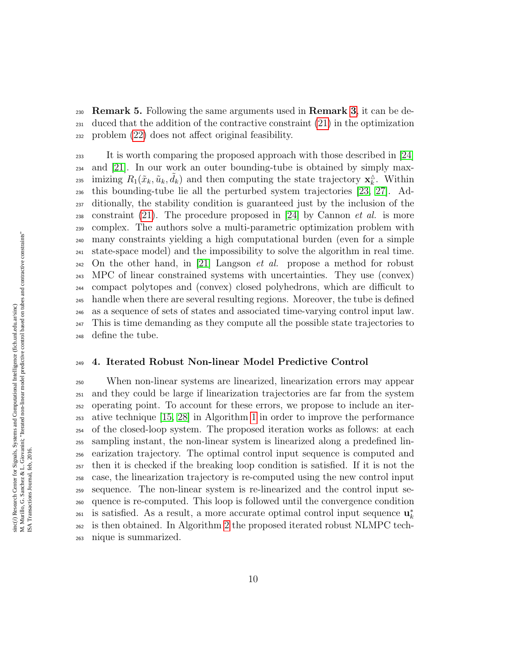**230 Remark 5.** Following the same arguments used in **Remark [3](#page-6-4)**, it can be de- duced that the addition of the contractive constraint [\(21\)](#page-8-3) in the optimization problem [\(22\)](#page-8-4) does not affect original feasibility.

 It is worth comparing the proposed approach with those described in [\[24\]](#page-23-6) and [\[21\]](#page-23-2). In our work an outer bounding-tube is obtained by simply maximizing  $R_1(\tilde{x}_k, \tilde{u}_k, \tilde{d}_k)$  and then computing the state trajectory  $\mathbf{x}_k^{\Delta}$ <sup>235</sup> imizing  $R_1(\tilde{x}_k, \tilde{u}_k, d_k)$  and then computing the state trajectory  $\mathbf{x}_k^{\wedge}$ . Within this bounding-tube lie all the perturbed system trajectories [\[23,](#page-23-4) [27\]](#page-24-1). Ad- ditionally, the stability condition is guaranteed just by the inclusion of the 238 constraint [\(21\)](#page-8-3). The procedure proposed in [\[24\]](#page-23-6) by Cannon *et al.* is more complex. The authors solve a multi-parametric optimization problem with many constraints yielding a high computational burden (even for a simple state-space model) and the impossibility to solve the algorithm in real time.  $_{242}$  On the other hand, in [\[21\]](#page-23-2) Langson *et al.* propose a method for robust MPC of linear constrained systems with uncertainties. They use (convex) compact polytopes and (convex) closed polyhedrons, which are difficult to handle when there are several resulting regions. Moreover, the tube is defined as a sequence of sets of states and associated time-varying control input law. This is time demanding as they compute all the possible state trajectories to define the tube.

# <span id="page-9-0"></span>4. Iterated Robust Non-linear Model Predictive Control

 When non-linear systems are linearized, linearization errors may appear and they could be large if linearization trajectories are far from the system operating point. To account for these errors, we propose to include an iter- ative technique [\[15,](#page-22-4) [28\]](#page-24-2) in Algorithm [1](#page-5-0) in order to improve the performance of the closed-loop system. The proposed iteration works as follows: at each sampling instant, the non-linear system is linearized along a predefined lin- earization trajectory. The optimal control input sequence is computed and then it is checked if the breaking loop condition is satisfied. If it is not the case, the linearization trajectory is re-computed using the new control input sequence. The non-linear system is re-linearized and the control input se- quence is re-computed. This loop is followed until the convergence condition is satisfied. As a result, a more accurate optimal control input sequence  $\mathbf{u}_k^*$  is then obtained. In Algorithm [2](#page-10-1) the proposed iterated robust NLMPC tech-nique is summarized.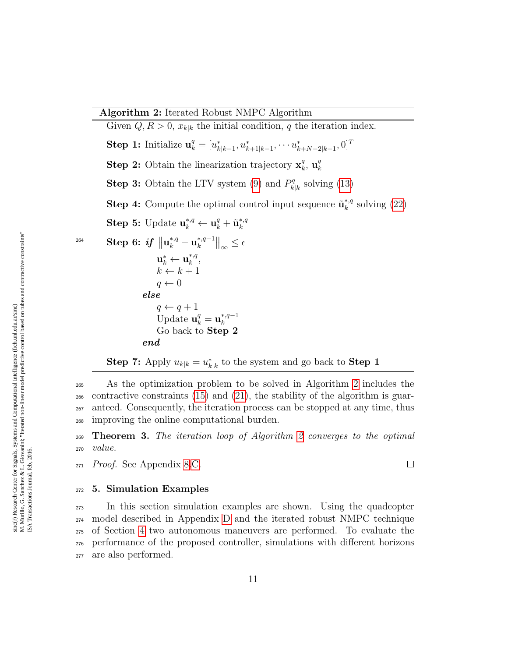Given  $Q, R > 0$ ,  $x_{k|k}$  the initial condition, q the iteration index. Step 1: Initialize  $\mathbf{u}_k^q = [u_{k|k-1}^*, u_{k+1|k-1}^*, \cdots u_{k+N-2|k-1}^*, 0]^T$ **Step 2:** Obtain the linearization trajectory  $\mathbf{x}_{k}^{q}$  $\mathbf{u}_k^q$ ,  $\mathbf{u}_k^q$ k **Step 3:** Obtain the LTV system [\(9\)](#page-3-3) and  $P_k^q$  $k|k}^q$  solving [\(13\)](#page-4-0) **Step 4:** Compute the optimal control input sequence  $\tilde{\mathbf{u}}_k^{*,q}$  $k^{*,q}$  solving [\(22\)](#page-8-4) Step 5: Update  $\mathbf{u}_{k}^{*,q} \leftarrow \mathbf{u}_{k}^{q} + \tilde{\mathbf{u}}_{k}^{*,q}$ k  $\textbf{Step 6:} \textit{ if } \left\| \mathbf{u}_{k}^{*,q} - \mathbf{u}_{k}^{*,q-1} \right\|$  $\left.\frac{d}{dt}, \frac{d}{dt} \right|_{\infty} \leq \epsilon$  $\textbf{u}_k^* \leftarrow \textbf{u}_k^{*,q}$  $_{k}^{\ast,q},$  $k \leftarrow k + 1$  $q \leftarrow 0$ else  $q \leftarrow q + 1$ Update  $\mathbf{u}_k^q = \mathbf{u}_k^{*,q-1}$ k Go back to Step 2 end

**Step 7:** Apply  $u_{k|k} = u_{k|k}^*$  to the system and go back to **Step 1** 

 As the optimization problem to be solved in Algorithm [2](#page-10-1) includes the  $_{266}$  contractive constraints [\(15\)](#page-6-0) and [\(21\)](#page-8-3), the stability of the algorithm is guar- anteed. Consequently, the iteration process can be stopped at any time, thus improving the online computational burden.

<span id="page-10-2"></span><sup>269</sup> Theorem 3. The iteration loop of Algorithm [2](#page-10-1) converges to the optimal <sup>270</sup> value.

<span id="page-10-1"></span> $\Box$ 

<sup>271</sup> Proof. See Appendix [8.](#page-17-0)[C.](#page-19-0)

#### <span id="page-10-0"></span><sup>272</sup> 5. Simulation Examples

 In this section simulation examples are shown. Using the quadcopter model described in Appendix [D](#page-20-0) and the iterated robust NMPC technique of Section [4](#page-9-0) two autonomous maneuvers are performed. To evaluate the performance of the proposed controller, simulations with different horizons are also performed.

264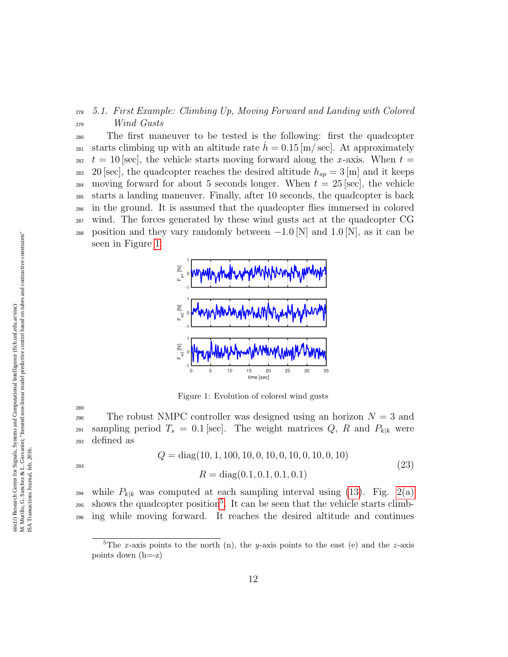# <span id="page-11-0"></span><sup>278</sup> 5.1. First Example: Climbing Up, Moving Forward and Landing with Colored <sup>279</sup> Wind Gusts

<sup>280</sup> The first maneuver to be tested is the following: first the quadcopter <sup>281</sup> starts climbing up with an altitude rate  $h = 0.15$  [m/ sec]. At approximately <sup>282</sup>  $t = 10$  [sec], the vehicle starts moving forward along the x-axis. When  $t =$ 283 20 [sec], the quadcopter reaches the desired altitude  $h_{sp} = 3$  [m] and it keeps 284 moving forward for about 5 seconds longer. When  $t = 25$  [sec], the vehicle <sup>285</sup> starts a landing maneuver. Finally, after 10 seconds, the quadcopter is back <sup>286</sup> in the ground. It is assumed that the quadcopter flies immersed in colored <sup>287</sup> wind. The forces generated by these wind gusts act at the quadcopter CG 288 position and they vary randomly between  $-1.0$  [N] and  $1.0$  [N], as it can be seen in Figure [1:](#page-11-1)



<span id="page-11-1"></span>Figure 1: Evolution of colored wind gusts

290 The robust NMPC controller was designed using an horizon  $N = 3$  and 291 sampling period  $T_s = 0.1$  [sec]. The weight matrices Q, R and  $P_{k|k}$  were <sup>292</sup> defined as

$$
Q = diag(10, 1, 100, 10, 0, 10, 0, 10, 0, 10, 0, 10)
$$
  

$$
R = diag(0.1, 0.1, 0.1, 0.1)
$$
 (23)

289

<sup>294</sup> while  $P_{k|k}$  was computed at each sampling interval using [\(13\)](#page-4-0). Fig. [2\(a\)](#page-12-1)  $_{295}$  $_{295}$  $_{295}$  shows the quadcopter position<sup>5</sup>. It can be seen that the vehicle starts climb-<sup>296</sup> ing while moving forward. It reaches the desired altitude and continues

<span id="page-11-2"></span><sup>&</sup>lt;sup>5</sup>The x-axis points to the north (n), the y-axis points to the east (e) and the z-axis points down (h=-z)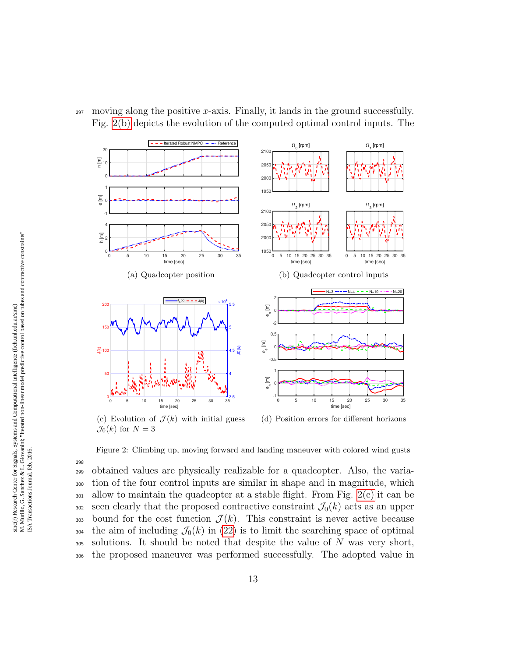$_{297}$  moving along the positive x-axis. Finally, it lands in the ground successfully. Fig. [2\(b\)](#page-12-2) depicts the evolution of the computed optimal control inputs. The

<span id="page-12-2"></span><span id="page-12-1"></span>

<span id="page-12-3"></span><span id="page-12-0"></span> $\mathcal{J}_0(k)$  for  $N=3$ 

Figure 2: Climbing up, moving forward and landing maneuver with colored wind gusts

298 obtained values are physically realizable for a quadcopter. Also, the varia- tion of the four control inputs are similar in shape and in magnitude, which  $_{301}$  allow to maintain the quadcopter at a stable flight. From Fig. [2\(c\)](#page-12-0) it can be seen clearly that the proposed contractive constraint  $\mathcal{J}_0(k)$  acts as an upper 303 bound for the cost function  $\mathcal{J}(k)$ . This constraint is never active because the aim of including  $\mathcal{J}_0(k)$  in [\(22\)](#page-8-4) is to limit the searching space of optimal solutions. It should be noted that despite the value of N was very short, the proposed maneuver was performed successfully. The adopted value in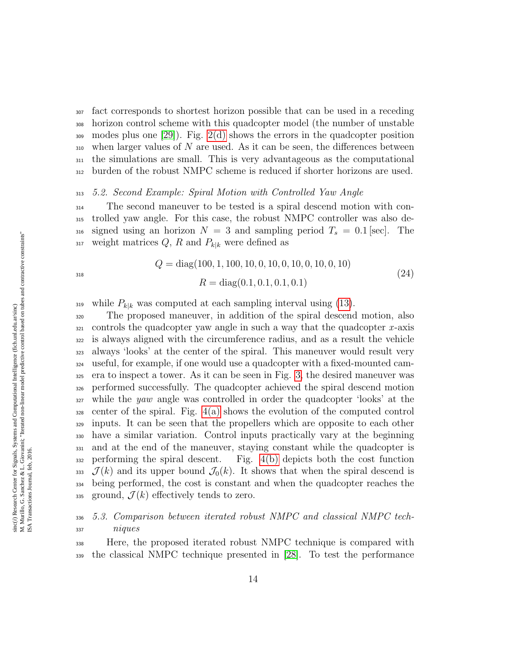fact corresponds to shortest horizon possible that can be used in a receding horizon control scheme with this quadcopter model (the number of unstable modes plus one [\[29\]](#page-24-3)). Fig. [2\(d\)](#page-12-3) shows the errors in the quadcopter position  $_{310}$  when larger values of N are used. As it can be seen, the differences between the simulations are small. This is very advantageous as the computational burden of the robust NMPC scheme is reduced if shorter horizons are used.

#### 5.2. Second Example: Spiral Motion with Controlled Yaw Angle

 The second maneuver to be tested is a spiral descend motion with con- trolled yaw angle. For this case, the robust NMPC controller was also de-316 signed using an horizon  $N = 3$  and sampling period  $T_s = 0.1$  [sec]. The 317 weight matrices  $Q, R$  and  $P_{k|k}$  were defined as

$$
Q = diag(100, 1, 100, 10, 0, 10, 0, 10, 0, 10, 0, 10)
$$
  

$$
R = diag(0.1, 0.1, 0.1, 0.1)
$$
 (24)

319 while  $P_{k|k}$  was computed at each sampling interval using [\(13\)](#page-4-0).

 The proposed maneuver, in addition of the spiral descend motion, also controls the quadcopter yaw angle in such a way that the quadcopter x-axis is always aligned with the circumference radius, and as a result the vehicle always 'looks' at the center of the spiral. This maneuver would result very useful, for example, if one would use a quadcopter with a fixed-mounted cam- era to inspect a tower. As it can be seen in Fig. [3,](#page-14-1) the desired maneuver was performed successfully. The quadcopter achieved the spiral descend motion while the yaw angle was controlled in order the quadcopter 'looks' at the center of the spiral. Fig.  $4(a)$  shows the evolution of the computed control inputs. It can be seen that the propellers which are opposite to each other have a similar variation. Control inputs practically vary at the beginning and at the end of the maneuver, staying constant while the quadcopter is performing the spiral descent. Fig. [4\(b\)](#page-14-0) depicts both the cost function  $\mathcal{J}(k)$  and its upper bound  $\mathcal{J}_0(k)$ . It shows that when the spiral descend is being performed, the cost is constant and when the quadcopter reaches the 335 ground,  $\mathcal{J}(k)$  effectively tends to zero.

# 5.3. Comparison between iterated robust NMPC and classical NMPC tech-niques

 Here, the proposed iterated robust NMPC technique is compared with the classical NMPC technique presented in [\[28\]](#page-24-2). To test the performance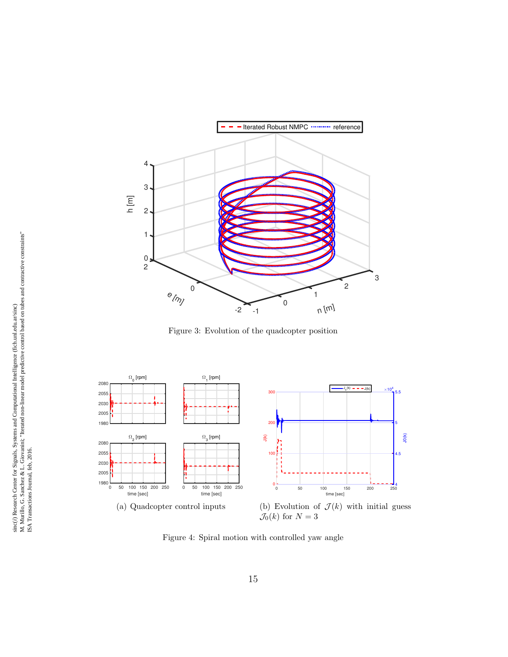

<span id="page-14-1"></span>Figure 3: Evolution of the quadcopter position

<span id="page-14-2"></span>

<span id="page-14-0"></span>Figure 4: Spiral motion with controlled yaw angle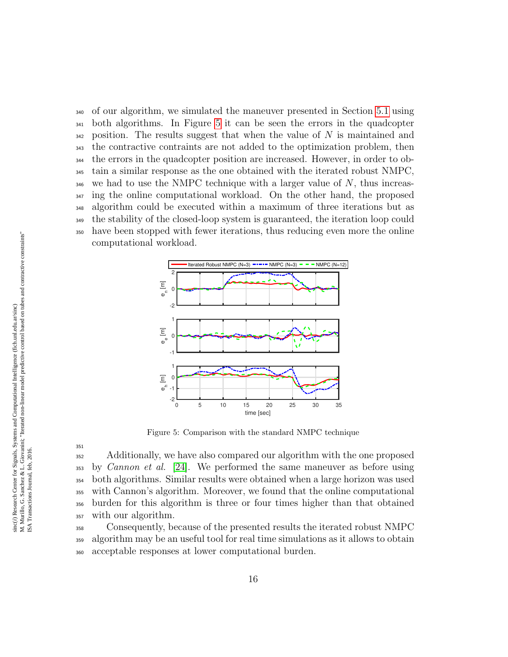of our algorithm, we simulated the maneuver presented in Section [5.1](#page-11-0) using both algorithms. In Figure [5](#page-15-0) it can be seen the errors in the quadcopter position. The results suggest that when the value of N is maintained and the contractive contraints are not added to the optimization problem, then the errors in the quadcopter position are increased. However, in order to ob- tain a similar response as the one obtained with the iterated robust NMPC,  $\frac{346}{40}$  we had to use the NMPC technique with a larger value of N, thus increas-<sup>347</sup> ing the online computational workload. On the other hand, the proposed algorithm could be executed within a maximum of three iterations but as the stability of the closed-loop system is guaranteed, the iteration loop could have been stopped with fewer iterations, thus reducing even more the online computational workload.



<span id="page-15-0"></span>Figure 5: Comparison with the standard NMPC technique

351

<sup>352</sup> Additionally, we have also compared our algorithm with the one proposed by *Cannon et al.* [\[24\]](#page-23-6). We performed the same maneuver as before using both algorithms. Similar results were obtained when a large horizon was used with Cannon's algorithm. Moreover, we found that the online computational burden for this algorithm is three or four times higher than that obtained with our algorithm.

<sup>358</sup> Consequently, because of the presented results the iterated robust NMPC <sup>359</sup> algorithm may be an useful tool for real time simulations as it allows to obtain <sup>360</sup> acceptable responses at lower computational burden.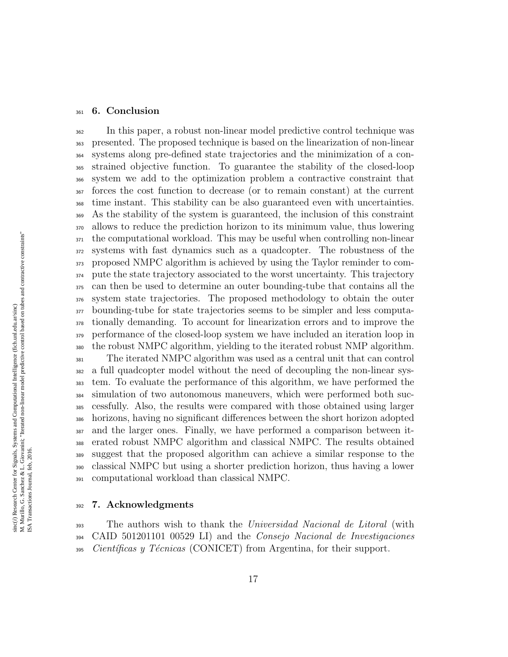#### <span id="page-16-0"></span>6. Conclusion

 In this paper, a robust non-linear model predictive control technique was presented. The proposed technique is based on the linearization of non-linear systems along pre-defined state trajectories and the minimization of a con- strained objective function. To guarantee the stability of the closed-loop system we add to the optimization problem a contractive constraint that forces the cost function to decrease (or to remain constant) at the current time instant. This stability can be also guaranteed even with uncertainties. As the stability of the system is guaranteed, the inclusion of this constraint allows to reduce the prediction horizon to its minimum value, thus lowering the computational workload. This may be useful when controlling non-linear systems with fast dynamics such as a quadcopter. The robustness of the proposed NMPC algorithm is achieved by using the Taylor reminder to com- pute the state trajectory associated to the worst uncertainty. This trajectory can then be used to determine an outer bounding-tube that contains all the system state trajectories. The proposed methodology to obtain the outer bounding-tube for state trajectories seems to be simpler and less computa- tionally demanding. To account for linearization errors and to improve the performance of the closed-loop system we have included an iteration loop in the robust NMPC algorithm, yielding to the iterated robust NMP algorithm. The iterated NMPC algorithm was used as a central unit that can control a full quadcopter model without the need of decoupling the non-linear sys- tem. To evaluate the performance of this algorithm, we have performed the simulation of two autonomous maneuvers, which were performed both suc- cessfully. Also, the results were compared with those obtained using larger horizons, having no significant differences between the short horizon adopted and the larger ones. Finally, we have performed a comparison between it- erated robust NMPC algorithm and classical NMPC. The results obtained suggest that the proposed algorithm can achieve a similar response to the classical NMPC but using a shorter prediction horizon, thus having a lower computational workload than classical NMPC.

#### 7. Acknowledgments

<sup>393</sup> The authors wish to thank the Universidad Nacional de Litoral (with CAID 501201101 00529 LI) and the Consejo Nacional de Investigaciones Científicas y Técnicas (CONICET) from Argentina, for their support.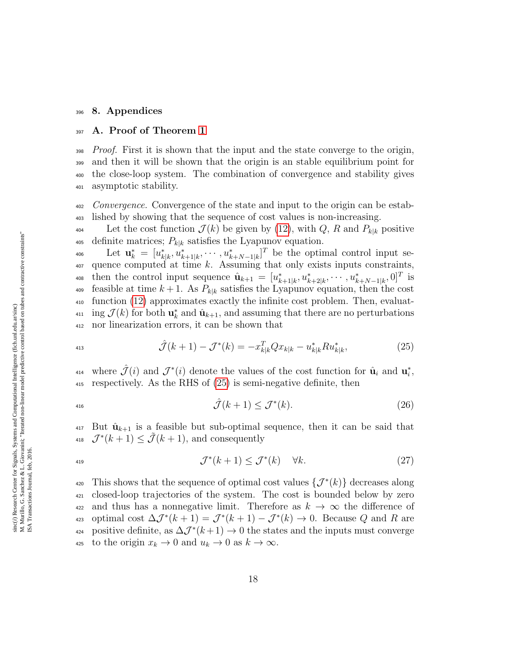#### <span id="page-17-0"></span><sup>396</sup> 8. Appendices

#### <span id="page-17-1"></span><sup>397</sup> A. Proof of Theorem [1](#page-5-3)

*Proof.* First it is shown that the input and the state converge to the origin, and then it will be shown that the origin is an stable equilibrium point for the close-loop system. The combination of convergence and stability gives asymptotic stability.

<sup>402</sup> Convergence. Convergence of the state and input to the origin can be estab-<sup>403</sup> lished by showing that the sequence of cost values is non-increasing.

<sup>404</sup> Let the cost function  $\mathcal{J}(k)$  be given by [\(12\)](#page-4-2), with Q, R and  $P_{k|k}$  positive 405 definite matrices;  $P_{k|k}$  satisfies the Lyapunov equation.

<sup>406</sup> Let  $\mathbf{u}_k^* = [u_{k|k}^*, u_{k+1|k}^*, \cdots, u_{k+N-1|k}^*]^T$  be the optimal control input se- $407$  quence computed at time k. Assuming that only exists inputs constraints, 408 then the control input sequence  $\hat{\mathbf{u}}_{k+1} = [u^*_{k+1|k}, u^*_{k+2|k}, \cdots, u^*_{k+N-1|k}, 0]^T$  is 409 feasible at time  $k+1$ . As  $P_{k|k}$  satisfies the Lyapunov equation, then the cost <sup>410</sup> function [\(12\)](#page-4-2) approximates exactly the infinite cost problem. Then, evaluat-<sup>411</sup> ing  $\mathcal{J}(k)$  for both  $\mathbf{u}_k^*$  and  $\hat{\mathbf{u}}_{k+1}$ , and assuming that there are no perturbations <sup>412</sup> nor linearization errors, it can be shown that

<span id="page-17-2"></span>
$$
\hat{\mathcal{J}}(k+1) - \mathcal{J}^*(k) = -x_{k|k}^T Q x_{k|k} - u_{k|k}^* R u_{k|k}^*,\tag{25}
$$

<sup>414</sup> where  $\hat{\mathcal{J}}(i)$  and  $\mathcal{J}^*(i)$  denote the values of the cost function for  $\hat{\mathbf{u}}_i$  and  $\mathbf{u}_i^*$ , <sup>415</sup> respectively. As the RHS of [\(25\)](#page-17-2) is semi-negative definite, then

$$
\hat{\mathcal{J}}(k+1) \le \mathcal{J}^*(k). \tag{26}
$$

<span id="page-17-3"></span> $\mathbf{u}_1$  But  $\hat{\mathbf{u}}_{k+1}$  is a feasible but sub-optimal sequence, then it can be said that <sup>418</sup>  $\mathcal{J}^*(k+1) \leq \tilde{\mathcal{J}}(k+1)$ , and consequently

$$
\mathcal{J}^*(k+1) \le \mathcal{J}^*(k) \quad \forall k. \tag{27}
$$

420 This shows that the sequence of optimal cost values  $\{\mathcal{J}^*(k)\}\$  decreases along <sup>421</sup> closed-loop trajectories of the system. The cost is bounded below by zero 422 and thus has a nonnegative limit. Therefore as  $k \to \infty$  the difference of <sub>423</sub> optimal cost  $\Delta \mathcal{J}^*(k+1) = \mathcal{J}^*(k+1) - \mathcal{J}^*(k) \to 0$ . Because Q and R are <sup>424</sup> positive definite, as  $\Delta \mathcal{J}^*(k+1)$  → 0 the states and the inputs must converge 425 to the origin  $x_k \to 0$  and  $u_k \to 0$  as  $k \to \infty$ .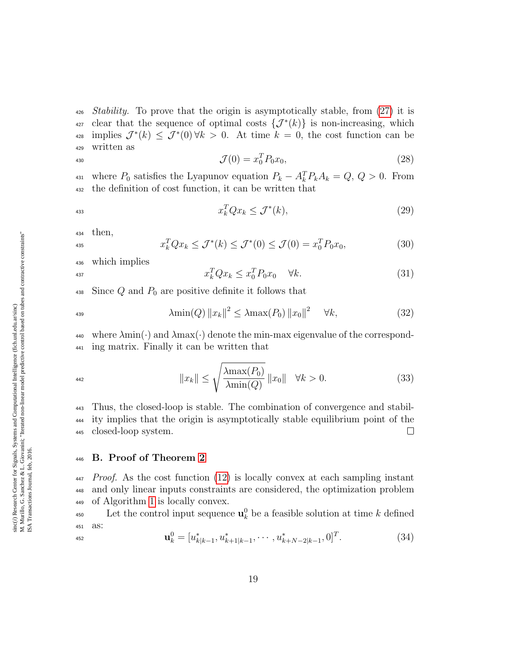$\mu_{426}$  *Stability.* To prove that the origin is asymptotically stable, from [\(27\)](#page-17-3) it is  $\alpha_{27}$  clear that the sequence of optimal costs  $\{\mathcal{J}^*(k)\}\$ is non-increasing, which <sup>428</sup> implies  $\mathcal{J}^*(k) \leq \mathcal{J}^*(0) \forall k > 0$ . At time  $k = 0$ , the cost function can be <sup>429</sup> written as

$$
\mathcal{J}(0) = x_0^T P_0 x_0,\tag{28}
$$

<sup>431</sup> where  $P_0$  satisfies the Lyapunov equation  $P_k - A_k^T P_k A_k = Q, Q > 0$ . From <sup>432</sup> the definition of cost function, it can be written that

$$
x_k^T Q x_k \le \mathcal{J}^*(k),\tag{29}
$$

<sup>434</sup> then,

$$
x_k^T Q x_k \le \mathcal{J}^*(k) \le \mathcal{J}^*(0) \le \mathcal{J}(0) = x_0^T P_0 x_0,\tag{30}
$$

<sup>436</sup> which implies

$$
x_k^T Q x_k \le x_0^T P_0 x_0 \quad \forall k. \tag{31}
$$

438 Since  $Q$  and  $P_0$  are positive definite it follows that

$$
\lambda \min(Q) \|x_k\|^2 \le \lambda \max(P_0) \|x_0\|^2 \quad \forall k,
$$
\n(32)

 $\phi_{440}$  where  $\lambda$ min( $\cdot$ ) and  $\lambda$ max( $\cdot$ ) denote the min-max eigenvalue of the correspond-<sup>441</sup> ing matrix. Finally it can be written that

$$
||x_k|| \le \sqrt{\frac{\lambda \max(P_0)}{\lambda \min(Q)}} ||x_0|| \quad \forall k > 0.
$$
\n(33)

 Thus, the closed-loop is stable. The combination of convergence and stabil- ity implies that the origin is asymptotically stable equilibrium point of the closed-loop system.  $\Box$ 

#### <span id="page-18-0"></span><sup>446</sup> B. Proof of Theorem [2](#page-6-2)

 $447$  Proof. As the cost function [\(12\)](#page-4-2) is locally convex at each sampling instant <sup>448</sup> and only linear inputs constraints are considered, the optimization problem <sup>449</sup> of Algorithm [1](#page-5-0) is locally convex.

<sup>450</sup> Let the control input sequence  $\mathbf{u}_k^0$  be a feasible solution at time k defined <sup>451</sup> as: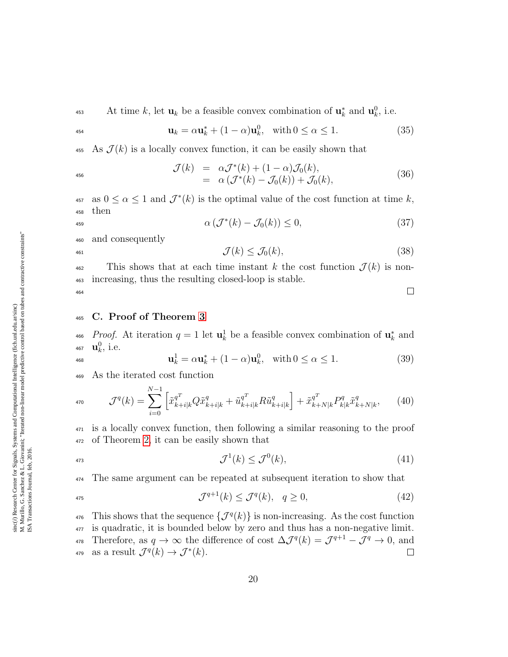$$
\mathbf{u}_k = \alpha \mathbf{u}_k^* + (1 - \alpha) \mathbf{u}_k^0, \quad \text{with } 0 \le \alpha \le 1. \tag{35}
$$

455 As  $\mathcal{J}(k)$  is a locally convex function, it can be easily shown that

$$
\mathcal{J}(k) = \alpha \mathcal{J}^*(k) + (1 - \alpha) \mathcal{J}_0(k),
$$
  
= \alpha (\mathcal{J}^\*(k) - \mathcal{J}\_0(k)) + \mathcal{J}\_0(k), (36)

457 as  $0 \le \alpha \le 1$  and  $\mathcal{J}^*(k)$  is the optimal value of the cost function at time k, <sup>458</sup> then

$$
\alpha \left( \mathcal{J}^*(k) - \mathcal{J}_0(k) \right) \le 0, \tag{37}
$$

<sup>460</sup> and consequently

$$
\mathcal{J}(k) \le \mathcal{J}_0(k),\tag{38}
$$

<sup>462</sup> This shows that at each time instant k the cost function  $\mathcal{J}(k)$  is non-<sup>463</sup> increasing, thus the resulting closed-loop is stable.  $\Box$ 464

# <span id="page-19-0"></span><sup>465</sup> C. Proof of Theorem [3](#page-10-2)

<sup>466</sup> Proof. At iteration  $q = 1$  let  $\mathbf{u}_k^1$  be a feasible convex combination of  $\mathbf{u}_k^*$  and 467  $\mathbf{u}_k^0$ , i.e.

$$
\mathbf{u}_k^1 = \alpha \mathbf{u}_k^* + (1 - \alpha) \mathbf{u}_k^0, \quad \text{with } 0 \le \alpha \le 1.
$$
 (39)

<sup>469</sup> As the iterated cost function

$$
\mathcal{J}^{q}(k) = \sum_{i=0}^{N-1} \left[ \tilde{x}_{k+i|k}^{q^T} Q \tilde{x}_{k+i|k}^q + \tilde{u}_{k+i|k}^{q^T} R \tilde{u}_{k+i|k}^q \right] + \tilde{x}_{k+N|k}^{q^T} P_{k|k}^q \tilde{x}_{k+N|k}^q, \tag{40}
$$

<sup>471</sup> is a locally convex function, then following a similar reasoning to the proof <sup>472</sup> of Theorem [2,](#page-6-2) it can be easily shown that

$$
\mathcal{J}^1(k) \le \mathcal{J}^0(k),\tag{41}
$$

<sup>474</sup> The same argument can be repeated at subsequent iteration to show that

$$
\mathcal{J}^{q+1}(k) \le \mathcal{J}^q(k), \quad q \ge 0,\tag{42}
$$

<sup>476</sup> This shows that the sequence  $\{\mathcal{J}^q(k)\}\$ is non-increasing. As the cost function <sup>477</sup> is quadratic, it is bounded below by zero and thus has a non-negative limit. 478 Therefore, as  $q \to \infty$  the difference of cost  $\Delta \mathcal{J}^q(k) = \mathcal{J}^{q+1} - \mathcal{J}^q \to 0$ , and <sup>479</sup> as a result  $\mathcal{J}^q(k) \to \mathcal{J}^*(k)$ .  $\Box$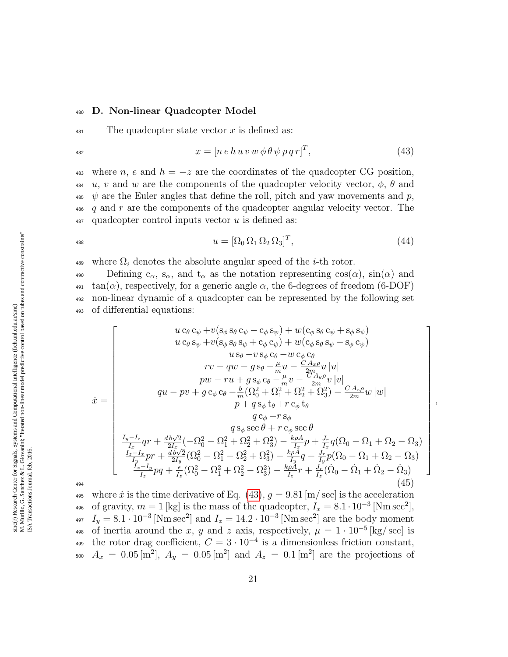#### <span id="page-20-0"></span><sup>480</sup> D. Non-linear Quadcopter Model

<span id="page-20-1"></span> $481$  The quadcopter state vector x is defined as:

$$
x = [n e h u v w \phi \theta \psi p q r]^T, \qquad (43)
$$

483 where n, e and  $h = -z$  are the coordinates of the quadcopter CG position,  $\mu_{484}$  u, v and w are the components of the quadcopter velocity vector,  $\phi$ ,  $\theta$  and  $\psi$  are the Euler angles that define the roll, pitch and yaw movements and p,  $\frac{486}{9}$  and r are the components of the quadcopter angular velocity vector. The  $487$  quadcopter control inputs vector u is defined as:

$$
u = [\Omega_0 \,\Omega_1 \,\Omega_2 \,\Omega_3]^T,\tag{44}
$$

,

489 where  $\Omega_i$  denotes the absolute angular speed of the *i*-th rotor.

490 Defining  $c_{\alpha}$ ,  $s_{\alpha}$ , and  $t_{\alpha}$  as the notation representing  $cos(\alpha)$ ,  $sin(\alpha)$  and  $\tan(\alpha)$ , respectively, for a generic angle  $\alpha$ , the 6-degrees of freedom (6-DOF) <sup>492</sup> non-linear dynamic of a quadcopter can be represented by the following set <sup>493</sup> of differential equations:

$$
\dot{x} = \begin{bmatrix}\nu c_{\theta} c_{\psi} + v(s_{\phi} s_{\theta} c_{\psi} - c_{\phi} s_{\psi}) + w(c_{\phi} s_{\theta} c_{\psi} + s_{\phi} s_{\psi}) \\
u c_{\theta} s_{\psi} + v(s_{\phi} s_{\theta} s_{\psi} + c_{\phi} c_{\psi}) + w(c_{\phi} s_{\theta} s_{\psi} - s_{\phi} c_{\psi}) \\
u s_{\theta} - v s_{\phi} c_{\theta} - w c_{\phi} c_{\theta} \\
rv - qw - g s_{\theta} - \frac{\mu}{m} u - \frac{C A_x \rho}{2m} u |u| \\
pw - ru + g s_{\phi} c_{\theta} - \frac{\mu}{m} v - \frac{C A_y \rho}{2m} v |v| \\
qu - pv + g c_{\phi} c_{\theta} - \frac{b}{m} (\Omega_0^2 + \Omega_1^2 + \Omega_2^2 + \Omega_3^2) - \frac{C A_z \rho}{2m} w |w| \\
p + q s_{\phi} t_{\theta} + r c_{\phi} t_{\theta} \\
q c_{\phi} - r s_{\phi} \\
q s_{\phi} \sec \theta + r c_{\phi} \sec \theta \\
\frac{I_y - I_z}{I_x} qr + \frac{d b \sqrt{2}}{2I_x} (-\Omega_0^2 - \Omega_1^2 + \Omega_2^2 + \Omega_3^2) - \frac{k \rho A}{I_x} p + \frac{J_r}{I_x} q (\Omega_0 - \Omega_1 + \Omega_2 - \Omega_3) \\
\frac{I_z - I_x}{I_y} pr + \frac{d b \sqrt{2}}{2I_y} (\Omega_0^2 - \Omega_1^2 - \Omega_2^2 + \Omega_3^2) - \frac{k \rho A}{I_x} q - \frac{J_r}{I_y} p (\Omega_0 - \Omega_1 + \Omega_2 - \Omega_3) \\
\frac{I_z - I_x}{I_z} pq + \frac{\epsilon}{I_z} (\Omega_0^2 - \Omega_1^2 + \Omega_2^2 - \Omega_3^2) - \frac{k \rho A}{I_z} r + \frac{J_r}{I_z} (\Omega_0 - \Omega_1 + \Omega_2 - \Omega_3) \\
\frac{d \Omega_1}{2I_z} (1 + \Omega_0^2 - \Omega_1^2 + \Omega_2^2 - \Omega_3^2) - \frac{k \rho A}{I_z} r + \frac{J_r}{I_z} (\Omega_0 - \Omega_1
$$

495 where  $\dot{x}$  is the time derivative of Eq. [\(43\)](#page-20-1),  $q = 9.81$  [m/sec] is the acceleration <sup>496</sup> of gravity,  $m = 1$  [kg] is the mass of the quadcopter,  $I_x = 8.1 \cdot 10^{-3}$  [Nm sec<sup>2</sup>],  $I_y = 8.1 \cdot 10^{-3}$  [Nm sec<sup>2</sup>] and  $I_z = 14.2 \cdot 10^{-3}$  [Nm sec<sup>2</sup>] are the body moment 498 of inertia around the x, y and z axis, respectively,  $\mu = 1 \cdot 10^{-5}$  [kg/sec] is 499 the rotor drag coefficient,  $C = 3 \cdot 10^{-4}$  is a dimensionless friction constant, 500  $A_x = 0.05 \,\mathrm{[m^2]}, A_y = 0.05 \,\mathrm{[m^2]}$  and  $A_z = 0.1 \,\mathrm{[m^2]}$  are the projections of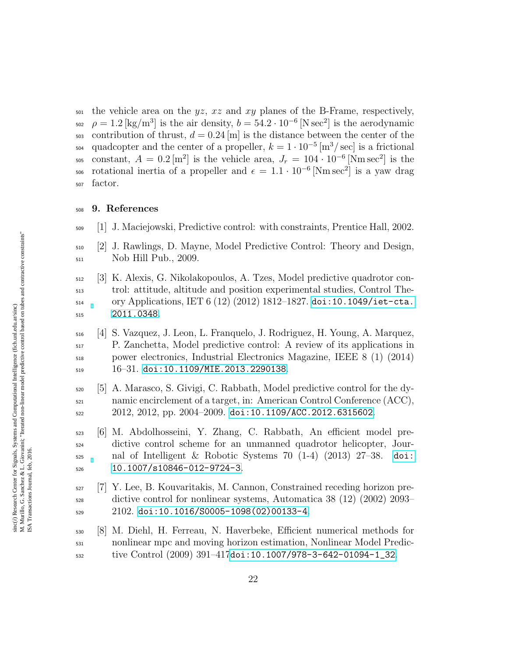$\frac{1}{501}$  the vehicle area on the yz, xz and xy planes of the B-Frame, respectively, <sub>502</sub>  $\rho = 1.2 \text{ [kg/m}^3 \text{] is the air density, } b = 54.2 \cdot 10^{-6} \text{ [N sec}^2 \text{] is the aerodynamic}$  $_{503}$  contribution of thrust,  $d = 0.24$  [m] is the distance between the center of the <sup>504</sup> quadcopter and the center of a propeller,  $k = 1 \cdot 10^{-5}$  [m<sup>3</sup>/sec] is a frictional <sup>505</sup> constant,  $A = 0.2 \,\mathrm{[m^2]}$  is the vehicle area,  $J_r = 104 \cdot 10^{-6} \,\mathrm{[Nm\,sec^2]}$  is the <sup>506</sup> rotational inertia of a propeller and  $\epsilon = 1.1 \cdot 10^{-6}$  [Nm sec<sup>2</sup>] is a yaw drag factor.

#### 9. References

- <span id="page-21-0"></span>[1] J. Maciejowski, Predictive control: with constraints, Prentice Hall, 2002.
- <span id="page-21-1"></span> [2] J. Rawlings, D. Mayne, Model Predictive Control: Theory and Design, Nob Hill Pub., 2009.
- <span id="page-21-2"></span> [3] K. Alexis, G. Nikolakopoulos, A. Tzes, Model predictive quadrotor con- trol: attitude, altitude and position experimental studies, Control The- $_{514}$  ory Applications, IET 6 (12) (2012) 1812–1827. [doi:10.1049/iet-cta.](http://dx.doi.org/10.1049/iet-cta.2011.0348) [2011.0348](http://dx.doi.org/10.1049/iet-cta.2011.0348).
- [4] S. Vazquez, J. Leon, L. Franquelo, J. Rodriguez, H. Young, A. Marquez, P. Zanchetta, Model predictive control: A review of its applications in power electronics, Industrial Electronics Magazine, IEEE 8 (1) (2014)  $_{519}$  16–31. [doi:10.1109/MIE.2013.2290138](http://dx.doi.org/10.1109/MIE.2013.2290138).
- [5] A. Marasco, S. Givigi, C. Rabbath, Model predictive control for the dy- namic encirclement of a target, in: American Control Conference (ACC), 2012, 2012, pp. 2004–2009. [doi:10.1109/ACC.2012.6315602](http://dx.doi.org/10.1109/ACC.2012.6315602).
- <span id="page-21-3"></span> [6] M. Abdolhosseini, Y. Zhang, C. Rabbath, An efficient model pre- dictive control scheme for an unmanned quadrotor helicopter, Jour- nal of Intelligent & Robotic Systems 70 (1-4) (2013) 27–38. [doi:](http://dx.doi.org/10.1007/s10846-012-9724-3) [10.1007/s10846-012-9724-3](http://dx.doi.org/10.1007/s10846-012-9724-3).
- <span id="page-21-4"></span> [7] Y. Lee, B. Kouvaritakis, M. Cannon, Constrained receding horizon pre- dictive control for nonlinear systems, Automatica 38 (12) (2002) 2093–  $2102.$  [doi:10.1016/S0005-1098\(02\)00133-4](http://dx.doi.org/10.1016/S0005-1098(02)00133-4).
- [8] M. Diehl, H. Ferreau, N. Haverbeke, Efficient numerical methods for nonlinear mpc and moving horizon estimation, Nonlinear Model Predic-tive Control (2009) 391–417[doi:10.1007/978-3-642-01094-1\\_32](http://dx.doi.org/10.1007/978-3-642-01094-1_32).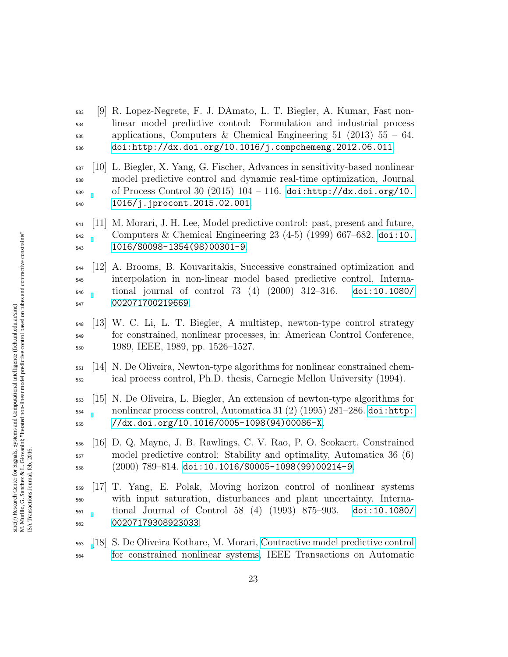- [9] R. Lopez-Negrete, F. J. DAmato, L. T. Biegler, A. Kumar, Fast non- linear model predictive control: Formulation and industrial process  $\mu_{\text{535}}$  applications, Computers & Chemical Engineering 51 (2013) 55 – 64. [doi:http://dx.doi.org/10.1016/j.compchemeng.2012.06.011](http://dx.doi.org/http://dx.doi.org/10.1016/j.compchemeng.2012.06.011).
- <span id="page-22-0"></span> [10] L. Biegler, X. Yang, G. Fischer, Advances in sensitivity-based nonlinear model predictive control and dynamic real-time optimization, Journal 539 of Process Control 30 (2015)  $104 - 116$ . [doi:http://dx.doi.org/10.](http://dx.doi.org/http://dx.doi.org/10.1016/j.jprocont.2015.02.001) [1016/j.jprocont.2015.02.001](http://dx.doi.org/http://dx.doi.org/10.1016/j.jprocont.2015.02.001).
- <span id="page-22-1"></span> [11] M. Morari, J. H. Lee, Model predictive control: past, present and future,  $_{542}$  Computers & Chemical Engineering 23 (4-5) (1999) 667–682. [doi:10.](http://dx.doi.org/10.1016/S0098-1354(98)00301-9) [1016/S0098-1354\(98\)00301-9](http://dx.doi.org/10.1016/S0098-1354(98)00301-9).
- <span id="page-22-2"></span> [12] A. Brooms, B. Kouvaritakis, Successive constrained optimization and interpolation in non-linear model based predictive control, Interna- tional journal of control 73 (4) (2000) 312–316. [doi:10.1080/](http://dx.doi.org/10.1080/002071700219669) [002071700219669](http://dx.doi.org/10.1080/002071700219669).
- <span id="page-22-3"></span> [13] W. C. Li, L. T. Biegler, A multistep, newton-type control strategy for constrained, nonlinear processes, in: American Control Conference, 1989, IEEE, 1989, pp. 1526–1527.
- [14] N. De Oliveira, Newton-type algorithms for nonlinear constrained chem-ical process control, Ph.D. thesis, Carnegie Mellon University (1994).
- <span id="page-22-4"></span> [15] N. De Oliveira, L. Biegler, An extension of newton-type algorithms for nonlinear process control, Automatica 31 (2) (1995) 281–286. [doi:http:](http://dx.doi.org/http://dx.doi.org/10.1016/0005-1098(94)00086-X) [//dx.doi.org/10.1016/0005-1098\(94\)00086-X](http://dx.doi.org/http://dx.doi.org/10.1016/0005-1098(94)00086-X).
- <span id="page-22-5"></span> [16] D. Q. Mayne, J. B. Rawlings, C. V. Rao, P. O. Scokaert, Constrained model predictive control: Stability and optimality, Automatica 36 (6)  $_{558}$  (2000)  $789-814.$  [doi:10.1016/S0005-1098\(99\)00214-9](http://dx.doi.org/10.1016/S0005-1098(99)00214-9).
- <span id="page-22-6"></span> [17] T. Yang, E. Polak, Moving horizon control of nonlinear systems with input saturation, disturbances and plant uncertainty, Interna- tional Journal of Control 58 (4) (1993) 875–903. [doi:10.1080/](http://dx.doi.org/10.1080/00207179308923033) [00207179308923033](http://dx.doi.org/10.1080/00207179308923033).
- <span id="page-22-7"></span> [\[](http://ieeexplore.ieee.org/lpdocs/epic03/wrapper.htm?arnumber=863592)18] S. De Oliveira Kothare, M. Morari, [Contractive model predictive control](http://ieeexplore.ieee.org/lpdocs/epic03/wrapper.htm?arnumber=863592) [for constrained nonlinear systems,](http://ieeexplore.ieee.org/lpdocs/epic03/wrapper.htm?arnumber=863592) IEEE Transactions on Automatic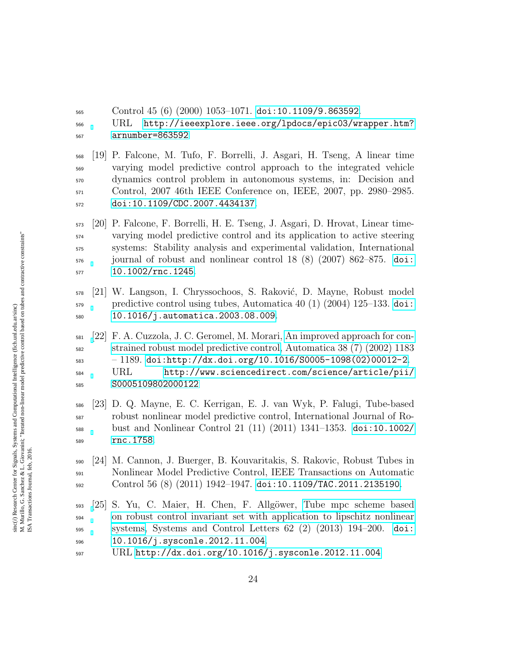Control 45 (6) (2000) 1053–1071. [doi:10.1109/9.863592](http://dx.doi.org/10.1109/9.863592).

 URL [http://ieeexplore.ieee.org/lpdocs/epic03/wrapper.htm?](http://ieeexplore.ieee.org/lpdocs/epic03/wrapper.htm?arnumber=863592) [arnumber=863592](http://ieeexplore.ieee.org/lpdocs/epic03/wrapper.htm?arnumber=863592)

<span id="page-23-0"></span> [19] P. Falcone, M. Tufo, F. Borrelli, J. Asgari, H. Tseng, A linear time varying model predictive control approach to the integrated vehicle dynamics control problem in autonomous systems, in: Decision and Control, 2007 46th IEEE Conference on, IEEE, 2007, pp. 2980–2985. [doi:10.1109/CDC.2007.4434137](http://dx.doi.org/10.1109/CDC.2007.4434137).

<span id="page-23-1"></span> [20] P. Falcone, F. Borrelli, H. E. Tseng, J. Asgari, D. Hrovat, Linear time- varying model predictive control and its application to active steering systems: Stability analysis and experimental validation, International journal of robust and nonlinear control 18 (8) (2007) 862–875. [doi:](http://dx.doi.org/10.1002/rnc.1245) [10.1002/rnc.1245](http://dx.doi.org/10.1002/rnc.1245).

- <span id="page-23-2"></span> [21] W. Langson, I. Chryssochoos, S. Raković, D. Mayne, Robust model  $\mu_{579}$  predictive control using tubes, Automatica 40 (1) (2004) 125–133. [doi:](http://dx.doi.org/10.1016/j.automatica.2003.08.009) [10.1016/j.automatica.2003.08.009](http://dx.doi.org/10.1016/j.automatica.2003.08.009).
- <span id="page-23-3"></span> [\[](http://www.sciencedirect.com/science/article/pii/S0005109802000122)22] F. A. Cuzzola, J. C. Geromel, M. Morari, [An improved approach for con-](http://www.sciencedirect.com/science/article/pii/S0005109802000122) [strained robust model predictive control,](http://www.sciencedirect.com/science/article/pii/S0005109802000122) Automatica 38 (7) (2002) 1183 – 1189. [doi:http://dx.doi.org/10.1016/S0005-1098\(02\)00012-2](http://dx.doi.org/http://dx.doi.org/10.1016/S0005-1098(02)00012-2). URL [http://www.sciencedirect.com/science/article/pii/](http://www.sciencedirect.com/science/article/pii/S0005109802000122)
- [S0005109802000122](http://www.sciencedirect.com/science/article/pii/S0005109802000122)
- <span id="page-23-4"></span> [23] D. Q. Mayne, E. C. Kerrigan, E. J. van Wyk, P. Falugi, Tube-based robust nonlinear model predictive control, International Journal of Ro- bust and Nonlinear Control 21 (11) (2011) 1341–1353. [doi:10.1002/](http://dx.doi.org/10.1002/rnc.1758) [rnc.1758](http://dx.doi.org/10.1002/rnc.1758).
- <span id="page-23-6"></span> [24] M. Cannon, J. Buerger, B. Kouvaritakis, S. Rakovic, Robust Tubes in Nonlinear Model Predictive Control, IEEE Transactions on Automatic Control 56 (8) (2011) 1942–1947. [doi:10.1109/TAC.2011.2135190](http://dx.doi.org/10.1109/TAC.2011.2135190).
- <span id="page-23-5"></span> [\[](http://dx.doi.org/10.1016/j.sysconle.2012.11.004)25] S. Yu, C. Maier, H. Chen, F. Allg¨ower, [Tube mpc scheme based](http://dx.doi.org/10.1016/j.sysconle.2012.11.004) [on robust control invariant set with application to lipschitz nonlinear](http://dx.doi.org/10.1016/j.sysconle.2012.11.004) [systems,](http://dx.doi.org/10.1016/j.sysconle.2012.11.004) Systems and Control Letters 62 (2) (2013) 194–200. [doi:](http://dx.doi.org/10.1016/j.sysconle.2012.11.004) [10.1016/j.sysconle.2012.11.004](http://dx.doi.org/10.1016/j.sysconle.2012.11.004).
- URL <http://dx.doi.org/10.1016/j.sysconle.2012.11.004>